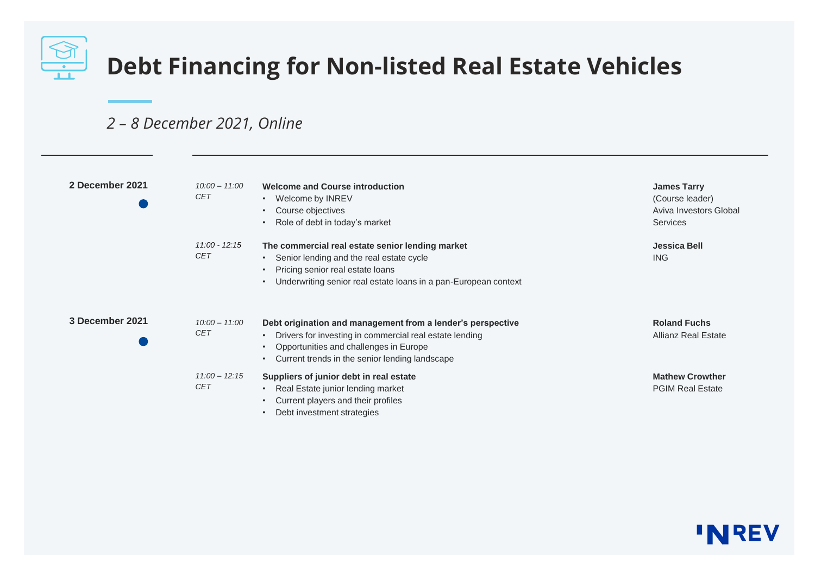

## *2 – 8 December 2021, Online*

| 2 December 2021 | $10:00 - 11:00$<br><b>CET</b> | <b>Welcome and Course introduction</b><br>Welcome by INREV<br>$\bullet$<br>Course objectives<br>$\bullet$<br>Role of debt in today's market                                                                                                               | <b>James Tarry</b><br>(Course leader)<br>Aviva Investors Global<br><b>Services</b> |
|-----------------|-------------------------------|-----------------------------------------------------------------------------------------------------------------------------------------------------------------------------------------------------------------------------------------------------------|------------------------------------------------------------------------------------|
|                 | $11:00 - 12:15$<br><b>CET</b> | The commercial real estate senior lending market<br>Senior lending and the real estate cycle<br>$\bullet$<br>Pricing senior real estate loans<br>Underwriting senior real estate loans in a pan-European context                                          | <b>Jessica Bell</b><br><b>ING</b>                                                  |
| 3 December 2021 | $10:00 - 11:00$<br><b>CET</b> | Debt origination and management from a lender's perspective<br>Drivers for investing in commercial real estate lending<br>$\bullet$<br>Opportunities and challenges in Europe<br>$\bullet$<br>Current trends in the senior lending landscape<br>$\bullet$ | <b>Roland Fuchs</b><br><b>Allianz Real Estate</b>                                  |
|                 | $11:00 - 12:15$<br><b>CET</b> | Suppliers of junior debt in real estate<br>Real Estate junior lending market<br>$\bullet$<br>Current players and their profiles<br>Debt investment strategies                                                                                             | <b>Mathew Crowther</b><br><b>PGIM Real Estate</b>                                  |